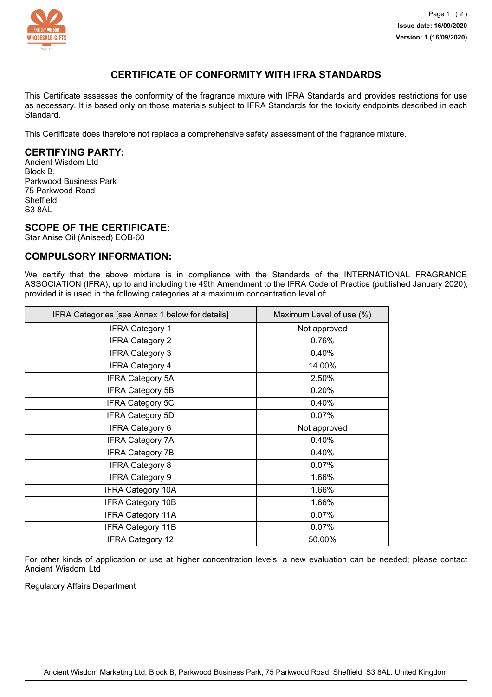

## **CERTIFICATE OF CONFORMITY WITH IFRA STANDARDS**

This Certificate assesses the conformity of the fragrance mixture with IFRA Standards and provides restrictions for use as necessary. It is based only on those materials subject to IFRA Standards for the toxicity endpoints described in each Standard.

This Certificate does therefore not replace a comprehensive safety assessment of the fragrance mixture.

# **CERTIFYING PARTY:**

Ancient Wisdom Ltd Block B, Parkwood Business Park 75 Parkwood Road Sheffield, S3 8AL

### **SCOPE OF THE CERTIFICATE:**

Star Anise Oil (Aniseed) EOB-60

#### **COMPULSORY INFORMATION:**

We certify that the above mixture is in compliance with the Standards of the INTERNATIONAL FRAGRANCE ASSOCIATION (IFRA), up to and including the 49th Amendment to the IFRA Code of Practice (published January 2020), provided it is used in the following categories at a maximum concentration level of:

| IFRA Categories [see Annex 1 below for details] | Maximum Level of use (%) |
|-------------------------------------------------|--------------------------|
| <b>IFRA Category 1</b>                          | Not approved             |
| <b>IFRA Category 2</b>                          | 0.76%                    |
| <b>IFRA Category 3</b>                          | 0.40%                    |
| <b>IFRA Category 4</b>                          | 14.00%                   |
| IFRA Category 5A                                | 2.50%                    |
| <b>IFRA Category 5B</b>                         | 0.20%                    |
| <b>IFRA Category 5C</b>                         | 0.40%                    |
| <b>IFRA Category 5D</b>                         | 0.07%                    |
| <b>IFRA Category 6</b>                          | Not approved             |
| <b>IFRA Category 7A</b>                         | 0.40%                    |
| <b>IFRA Category 7B</b>                         | 0.40%                    |
| <b>IFRA Category 8</b>                          | 0.07%                    |
| <b>IFRA Category 9</b>                          | 1.66%                    |
| <b>IFRA Category 10A</b>                        | 1.66%                    |
| <b>IFRA Category 10B</b>                        | 1.66%                    |
| <b>IFRA Category 11A</b>                        | 0.07%                    |
| <b>IFRA Category 11B</b>                        | 0.07%                    |
| <b>IFRA Category 12</b>                         | 50.00%                   |

For other kinds of application or use at higher concentration levels, a new evaluation can be needed; please contact Ancient Wisdom Ltd

Regulatory Affairs Department